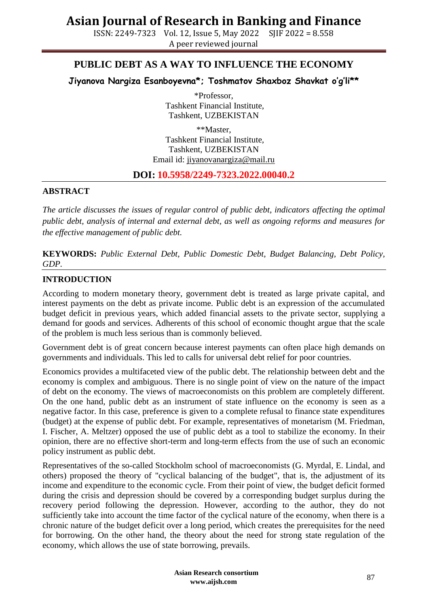ISSN: 2249-7323 Vol. 12, Issue 5, May 2022 SJIF 2022 = 8.558 A peer reviewed journal

### **PUBLIC DEBT AS A WAY TO INFLUENCE THE ECONOMY**

**Jiyanova Nargiza Esanboyevna\*; Toshmatov Shaxboz Shavkat o'g'li\*\***

\*Professor, Tashkent Financial Institute, Tashkent, UZBEKISTAN

\*\*Master, Tashkent Financial Institute, Tashkent, UZBEKISTAN Email id: [jiyanovanargiza@mail.ru](mailto:jiyanovanargiza@mail.ru)

#### **DOI: 10.5958/2249-7323.2022.00040.2**

#### **ABSTRACT**

*The article discusses the issues of regular control of public debt, indicators affecting the optimal public debt, analysis of internal and external debt, as well as ongoing reforms and measures for the effective management of public debt.*

**KEYWORDS:** *Public External Debt, Public Domestic Debt, Budget Balancing, Debt Policy, GDP.*

#### **INTRODUCTION**

According to modern monetary theory, government debt is treated as large private capital, and interest payments on the debt as private income. Public debt is an expression of the accumulated budget deficit in previous years, which added financial assets to the private sector, supplying a demand for goods and services. Adherents of this school of economic thought argue that the scale of the problem is much less serious than is commonly believed.

Government debt is of great concern because interest payments can often place high demands on governments and individuals. This led to calls for universal debt relief for poor countries.

Economics provides a multifaceted view of the public debt. The relationship between debt and the economy is complex and ambiguous. There is no single point of view on the nature of the impact of debt on the economy. The views of macroeconomists on this problem are completely different. On the one hand, public debt as an instrument of state influence on the economy is seen as a negative factor. In this case, preference is given to a complete refusal to finance state expenditures (budget) at the expense of public debt. For example, representatives of monetarism (M. Friedman, I. Fischer, A. Meltzer) opposed the use of public debt as a tool to stabilize the economy. In their opinion, there are no effective short-term and long-term effects from the use of such an economic policy instrument as public debt.

Representatives of the so-called Stockholm school of macroeconomists (G. Myrdal, E. Lindal, and others) proposed the theory of "cyclical balancing of the budget", that is, the adjustment of its income and expenditure to the economic cycle. From their point of view, the budget deficit formed during the crisis and depression should be covered by a corresponding budget surplus during the recovery period following the depression. However, according to the author, they do not sufficiently take into account the time factor of the cyclical nature of the economy, when there is a chronic nature of the budget deficit over a long period, which creates the prerequisites for the need for borrowing. On the other hand, the theory about the need for strong state regulation of the economy, which allows the use of state borrowing, prevails.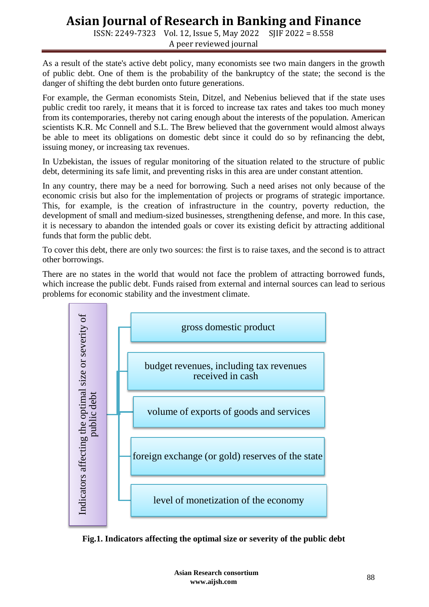ISSN: 2249-7323 Vol. 12, Issue 5, May 2022 SJIF 2022 = 8.558 A peer reviewed journal

As a result of the state's active debt policy, many economists see two main dangers in the growth of public debt. One of them is the probability of the bankruptcy of the state; the second is the danger of shifting the debt burden onto future generations.

For example, the German economists Stein, Ditzel, and Nebenius believed that if the state uses public credit too rarely, it means that it is forced to increase tax rates and takes too much money from its contemporaries, thereby not caring enough about the interests of the population. American scientists K.R. Mc Connell and S.L. The Brew believed that the government would almost always be able to meet its obligations on domestic debt since it could do so by refinancing the debt, issuing money, or increasing tax revenues.

In Uzbekistan, the issues of regular monitoring of the situation related to the structure of public debt, determining its safe limit, and preventing risks in this area are under constant attention.

In any country, there may be a need for borrowing. Such a need arises not only because of the economic crisis but also for the implementation of projects or programs of strategic importance. This, for example, is the creation of infrastructure in the country, poverty reduction, the development of small and medium-sized businesses, strengthening defense, and more. In this case, it is necessary to abandon the intended goals or cover its existing deficit by attracting additional funds that form the public debt.

To cover this debt, there are only two sources: the first is to raise taxes, and the second is to attract other borrowings.

There are no states in the world that would not face the problem of attracting borrowed funds, which increase the public debt. Funds raised from external and internal sources can lead to serious problems for economic stability and the investment climate.

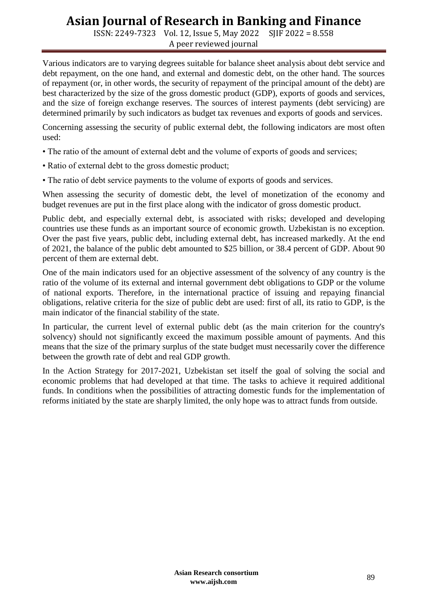ISSN: 2249-7323 Vol. 12, Issue 5, May 2022 SJIF 2022 = 8.558 A peer reviewed journal

Various indicators are to varying degrees suitable for balance sheet analysis about debt service and debt repayment, on the one hand, and external and domestic debt, on the other hand. The sources of repayment (or, in other words, the security of repayment of the principal amount of the debt) are best characterized by the size of the gross domestic product (GDP), exports of goods and services, and the size of foreign exchange reserves. The sources of interest payments (debt servicing) are determined primarily by such indicators as budget tax revenues and exports of goods and services.

Concerning assessing the security of public external debt, the following indicators are most often used:

- The ratio of the amount of external debt and the volume of exports of goods and services;
- Ratio of external debt to the gross domestic product;
- The ratio of debt service payments to the volume of exports of goods and services.

When assessing the security of domestic debt, the level of monetization of the economy and budget revenues are put in the first place along with the indicator of gross domestic product.

Public debt, and especially external debt, is associated with risks; developed and developing countries use these funds as an important source of economic growth. Uzbekistan is no exception. Over the past five years, public debt, including external debt, has increased markedly. At the end of 2021, the balance of the public debt amounted to \$25 billion, or 38.4 percent of GDP. About 90 percent of them are external debt.

One of the main indicators used for an objective assessment of the solvency of any country is the ratio of the volume of its external and internal government debt obligations to GDP or the volume of national exports. Therefore, in the international practice of issuing and repaying financial obligations, relative criteria for the size of public debt are used: first of all, its ratio to GDP, is the main indicator of the financial stability of the state.

In particular, the current level of external public debt (as the main criterion for the country's solvency) should not significantly exceed the maximum possible amount of payments. And this means that the size of the primary surplus of the state budget must necessarily cover the difference between the growth rate of debt and real GDP growth.

In the Action Strategy for 2017-2021, Uzbekistan set itself the goal of solving the social and economic problems that had developed at that time. The tasks to achieve it required additional funds. In conditions when the possibilities of attracting domestic funds for the implementation of reforms initiated by the state are sharply limited, the only hope was to attract funds from outside.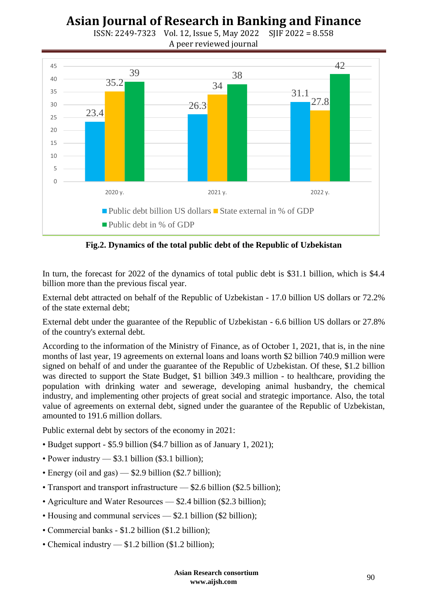### **Asian Journal of Research in Banking and Finance** ISSN: 2249-7323 Vol. 12, Issue 5, May 2022 SJIF 2022 = 8.558



**Fig.2. Dynamics of the total public debt of the Republic of Uzbekistan**

In turn, the forecast for 2022 of the dynamics of total public debt is \$31.1 billion, which is \$4.4 billion more than the previous fiscal year.

External debt attracted on behalf of the Republic of Uzbekistan - 17.0 billion US dollars or 72.2% of the state external debt;

External debt under the guarantee of the Republic of Uzbekistan - 6.6 billion US dollars or 27.8% of the country's external debt.

According to the information of the Ministry of Finance, as of October 1, 2021, that is, in the nine months of last year, 19 agreements on external loans and loans worth \$2 billion 740.9 million were signed on behalf of and under the guarantee of the Republic of Uzbekistan. Of these, \$1.2 billion was directed to support the State Budget, \$1 billion 349.3 million - to healthcare, providing the population with drinking water and sewerage, developing animal husbandry, the chemical industry, and implementing other projects of great social and strategic importance. Also, the total value of agreements on external debt, signed under the guarantee of the Republic of Uzbekistan, amounted to 191.6 million dollars.

Public external debt by sectors of the economy in 2021:

- Budget support \$5.9 billion (\$4.7 billion as of January 1, 2021);
- Power industry \$3.1 billion (\$3.1 billion);
- Energy (oil and gas) \$2.9 billion (\$2.7 billion);
- Transport and transport infrastructure \$2.6 billion (\$2.5 billion);
- Agriculture and Water Resources \$2.4 billion (\$2.3 billion);
- Housing and communal services \$2.1 billion (\$2 billion);
- Commercial banks \$1.2 billion (\$1.2 billion);
- Chemical industry \$1.2 billion (\$1.2 billion);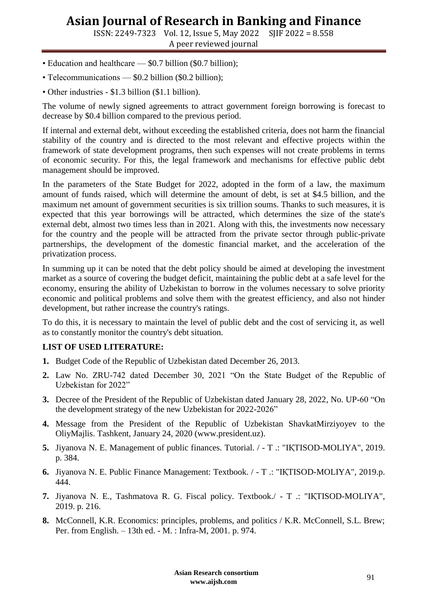ISSN: 2249-7323 Vol. 12, Issue 5, May 2022 SJIF 2022 = 8.558 A peer reviewed journal

- Education and healthcare \$0.7 billion (\$0.7 billion);
- Telecommunications \$0.2 billion (\$0.2 billion);
- Other industries \$1.3 billion (\$1.1 billion).

The volume of newly signed agreements to attract government foreign borrowing is forecast to decrease by \$0.4 billion compared to the previous period.

If internal and external debt, without exceeding the established criteria, does not harm the financial stability of the country and is directed to the most relevant and effective projects within the framework of state development programs, then such expenses will not create problems in terms of economic security. For this, the legal framework and mechanisms for effective public debt management should be improved.

In the parameters of the State Budget for 2022, adopted in the form of a law, the maximum amount of funds raised, which will determine the amount of debt, is set at \$4.5 billion, and the maximum net amount of government securities is six trillion soums. Thanks to such measures, it is expected that this year borrowings will be attracted, which determines the size of the state's external debt, almost two times less than in 2021. Along with this, the investments now necessary for the country and the people will be attracted from the private sector through public-private partnerships, the development of the domestic financial market, and the acceleration of the privatization process.

In summing up it can be noted that the debt policy should be aimed at developing the investment market as a source of covering the budget deficit, maintaining the public debt at a safe level for the economy, ensuring the ability of Uzbekistan to borrow in the volumes necessary to solve priority economic and political problems and solve them with the greatest efficiency, and also not hinder development, but rather increase the country's ratings.

To do this, it is necessary to maintain the level of public debt and the cost of servicing it, as well as to constantly monitor the country's debt situation.

### **LIST OF USED LITERATURE:**

- **1.** Budget Code of the Republic of Uzbekistan dated December 26, 2013.
- **2.** Law No. ZRU-742 dated December 30, 2021 "On the State Budget of the Republic of Uzbekistan for 2022"
- **3.** Decree of the President of the Republic of Uzbekistan dated January 28, 2022, No. UP-60 
<sup>"</sup>On the development strategy of the new Uzbekistan for 2022-2026"
- **4.** Message from the President of the Republic of Uzbekistan ShavkatMirziyoyev to the OliyMajlis. Tashkent, January 24, 2020 (www.president.uz).
- **5.** Jiyanova N. E. Management of public finances. Tutorial. / T .: "IҚTISOD-MOLIYA", 2019. p. 384.
- **6.** Jiyanova N. E. Public Finance Management: Textbook. / T .: "IҚTISOD-MOLIYA", 2019.p. 444.
- **7.** Jiyanova N. E., Tashmatova R. G. Fiscal policy. Textbook./ T .: "IҚTISOD-MOLIYA", 2019. p. 216.
- **8.** McConnell, K.R. Economics: principles, problems, and politics / K.R. McConnell, S.L. Brew; Per. from English. – 13th ed. - M. : Infra-M, 2001. p. 974.